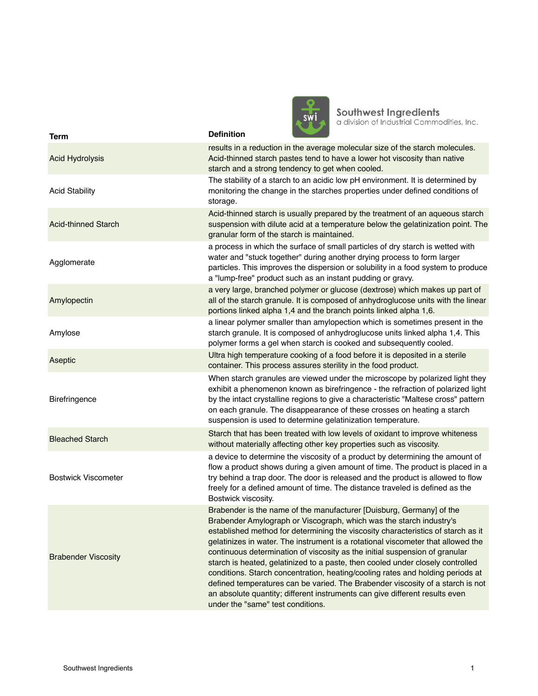

**Southwest Ingredients**<br>a division of Industrial Commodities, Inc.

| <b>Term</b>                | <b>Definition</b>                                                                                                                                                                                                                                                                                                                                                                                                                                                                                                                                                                                                                                                                                                                                                            |
|----------------------------|------------------------------------------------------------------------------------------------------------------------------------------------------------------------------------------------------------------------------------------------------------------------------------------------------------------------------------------------------------------------------------------------------------------------------------------------------------------------------------------------------------------------------------------------------------------------------------------------------------------------------------------------------------------------------------------------------------------------------------------------------------------------------|
| <b>Acid Hydrolysis</b>     | results in a reduction in the average molecular size of the starch molecules.<br>Acid-thinned starch pastes tend to have a lower hot viscosity than native<br>starch and a strong tendency to get when cooled.                                                                                                                                                                                                                                                                                                                                                                                                                                                                                                                                                               |
| <b>Acid Stability</b>      | The stability of a starch to an acidic low pH environment. It is determined by<br>monitoring the change in the starches properties under defined conditions of<br>storage.                                                                                                                                                                                                                                                                                                                                                                                                                                                                                                                                                                                                   |
| <b>Acid-thinned Starch</b> | Acid-thinned starch is usually prepared by the treatment of an aqueous starch<br>suspension with dilute acid at a temperature below the gelatinization point. The<br>granular form of the starch is maintained.                                                                                                                                                                                                                                                                                                                                                                                                                                                                                                                                                              |
| Agglomerate                | a process in which the surface of small particles of dry starch is wetted with<br>water and "stuck together" during another drying process to form larger<br>particles. This improves the dispersion or solubility in a food system to produce<br>a "lump-free" product such as an instant pudding or gravy.                                                                                                                                                                                                                                                                                                                                                                                                                                                                 |
| Amylopectin                | a very large, branched polymer or glucose (dextrose) which makes up part of<br>all of the starch granule. It is composed of anhydroglucose units with the linear<br>portions linked alpha 1,4 and the branch points linked alpha 1,6.                                                                                                                                                                                                                                                                                                                                                                                                                                                                                                                                        |
| Amylose                    | a linear polymer smaller than amylopection which is sometimes present in the<br>starch granule. It is composed of anhydroglucose units linked alpha 1,4. This<br>polymer forms a gel when starch is cooked and subsequently cooled.                                                                                                                                                                                                                                                                                                                                                                                                                                                                                                                                          |
| Aseptic                    | Ultra high temperature cooking of a food before it is deposited in a sterile<br>container. This process assures sterility in the food product.                                                                                                                                                                                                                                                                                                                                                                                                                                                                                                                                                                                                                               |
| Birefringence              | When starch granules are viewed under the microscope by polarized light they<br>exhibit a phenomenon known as birefringence - the refraction of polarized light<br>by the intact crystalline regions to give a characteristic "Maltese cross" pattern<br>on each granule. The disappearance of these crosses on heating a starch<br>suspension is used to determine gelatinization temperature.                                                                                                                                                                                                                                                                                                                                                                              |
| <b>Bleached Starch</b>     | Starch that has been treated with low levels of oxidant to improve whiteness<br>without materially affecting other key properties such as viscosity.                                                                                                                                                                                                                                                                                                                                                                                                                                                                                                                                                                                                                         |
| <b>Bostwick Viscometer</b> | a device to determine the viscosity of a product by determining the amount of<br>flow a product shows during a given amount of time. The product is placed in a<br>try behind a trap door. The door is released and the product is allowed to flow<br>freely for a defined amount of time. The distance traveled is defined as the<br>Bostwick viscosity.                                                                                                                                                                                                                                                                                                                                                                                                                    |
| <b>Brabender Viscosity</b> | Brabender is the name of the manufacturer [Duisburg, Germany] of the<br>Brabender Amylograph or Viscograph, which was the starch industry's<br>established method for determining the viscosity characteristics of starch as it<br>gelatinizes in water. The instrument is a rotational viscometer that allowed the<br>continuous determination of viscosity as the initial suspension of granular<br>starch is heated, gelatinized to a paste, then cooled under closely controlled<br>conditions. Starch concentration, heating/cooling rates and holding periods at<br>defined temperatures can be varied. The Brabender viscosity of a starch is not<br>an absolute quantity; different instruments can give different results even<br>under the "same" test conditions. |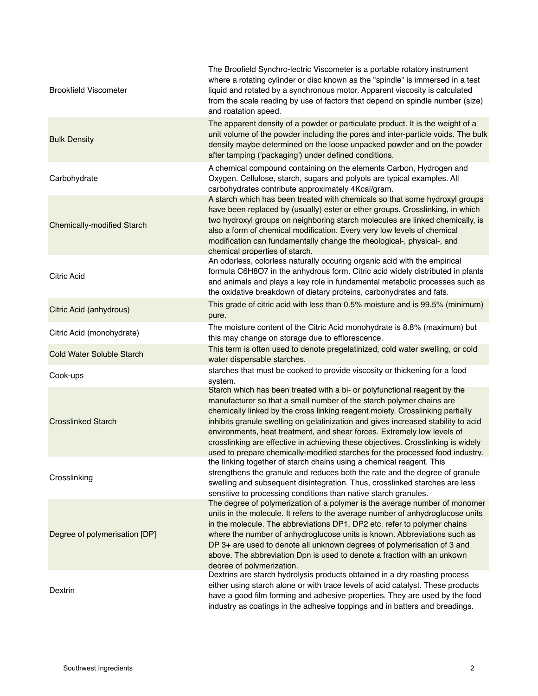| <b>Brookfield Viscometer</b>      | The Broofield Synchro-lectric Viscometer is a portable rotatory instrument<br>where a rotating cylinder or disc known as the "spindle" is immersed in a test<br>liquid and rotated by a synchronous motor. Apparent viscosity is calculated<br>from the scale reading by use of factors that depend on spindle number (size)<br>and roatation speed.                                                                                                                                                                                                                    |
|-----------------------------------|-------------------------------------------------------------------------------------------------------------------------------------------------------------------------------------------------------------------------------------------------------------------------------------------------------------------------------------------------------------------------------------------------------------------------------------------------------------------------------------------------------------------------------------------------------------------------|
| <b>Bulk Density</b>               | The apparent density of a powder or particulate product. It is the weight of a<br>unit volume of the powder including the pores and inter-particle voids. The bulk<br>density maybe determined on the loose unpacked powder and on the powder<br>after tamping ('packaging') under defined conditions.                                                                                                                                                                                                                                                                  |
| Carbohydrate                      | A chemical compound containing on the elements Carbon, Hydrogen and<br>Oxygen. Cellulose, starch, sugars and polyols are typical examples. All<br>carbohydrates contribute approximately 4Kcal/gram.                                                                                                                                                                                                                                                                                                                                                                    |
| <b>Chemically-modified Starch</b> | A starch which has been treated with chemicals so that some hydroxyl groups<br>have been replaced by (usually) ester or ether groups. Crosslinking, in which<br>two hydroxyl groups on neighboring starch molecules are linked chemically, is<br>also a form of chemical modification. Every very low levels of chemical<br>modification can fundamentally change the rheological-, physical-, and<br>chemical properties of starch.                                                                                                                                    |
| <b>Citric Acid</b>                | An odorless, colorless naturally occuring organic acid with the empirical<br>formula C6H8O7 in the anhydrous form. Citric acid widely distributed in plants<br>and animals and plays a key role in fundamental metabolic processes such as<br>the oxidative breakdown of dietary proteins, carbohydrates and fats.                                                                                                                                                                                                                                                      |
| Citric Acid (anhydrous)           | This grade of citric acid with less than 0.5% moisture and is 99.5% (minimum)<br>pure.                                                                                                                                                                                                                                                                                                                                                                                                                                                                                  |
| Citric Acid (monohydrate)         | The moisture content of the Citric Acid monohydrate is 8.8% (maximum) but<br>this may change on storage due to efflorescence.                                                                                                                                                                                                                                                                                                                                                                                                                                           |
| <b>Cold Water Soluble Starch</b>  | This term is often used to denote pregelatinized, cold water swelling, or cold<br>water dispersable starches.                                                                                                                                                                                                                                                                                                                                                                                                                                                           |
| Cook-ups                          | starches that must be cooked to provide viscosity or thickening for a food<br>system.                                                                                                                                                                                                                                                                                                                                                                                                                                                                                   |
| <b>Crosslinked Starch</b>         | Starch which has been treated with a bi- or polyfunctional reagent by the<br>manufacturer so that a small number of the starch polymer chains are<br>chemically linked by the cross linking reagent moiety. Crosslinking partially<br>inhibits granule swelling on gelatinization and gives increased stability to acid<br>environments, heat treatment, and shear forces. Extremely low levels of<br>crosslinking are effective in achieving these objectives. Crosslinking is widely<br>used to prepare chemically-modified starches for the processed food industry. |
| Crosslinking                      | the linking together of starch chains using a chemical reagent. This<br>strengthens the granule and reduces both the rate and the degree of granule<br>swelling and subsequent disintegration. Thus, crosslinked starches are less<br>sensitive to processing conditions than native starch granules.                                                                                                                                                                                                                                                                   |
| Degree of polymerisation [DP]     | The degree of polymerization of a polymer is the average number of monomer<br>units in the molecule. It refers to the average number of anhydroglucose units<br>in the molecule. The abbreviations DP1, DP2 etc. refer to polymer chains<br>where the number of anhydroglucose units is known. Abbreviations such as<br>DP 3+ are used to denote all unknown degrees of polymerisation of 3 and<br>above. The abbreviation Dpn is used to denote a fraction with an unkown<br>degree of polymerization.                                                                 |
| Dextrin                           | Dextrins are starch hydrolysis products obtained in a dry roasting process<br>either using starch alone or with trace levels of acid catalyst. These products<br>have a good film forming and adhesive properties. They are used by the food<br>industry as coatings in the adhesive toppings and in batters and breadings.                                                                                                                                                                                                                                             |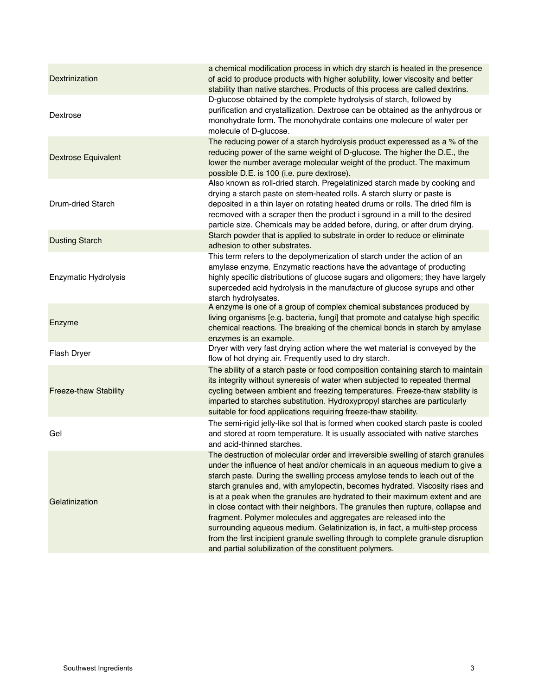| Dextrinization             | a chemical modification process in which dry starch is heated in the presence<br>of acid to produce products with higher solubility, lower viscosity and better<br>stability than native starches. Products of this process are called dextrins.                                                                                                                                                                                                                                                                                                                                                                                                                                                                                                                                                  |
|----------------------------|---------------------------------------------------------------------------------------------------------------------------------------------------------------------------------------------------------------------------------------------------------------------------------------------------------------------------------------------------------------------------------------------------------------------------------------------------------------------------------------------------------------------------------------------------------------------------------------------------------------------------------------------------------------------------------------------------------------------------------------------------------------------------------------------------|
| Dextrose                   | D-glucose obtained by the complete hydrolysis of starch, followed by<br>purification and crystallization. Dextrose can be obtained as the anhydrous or<br>monohydrate form. The monohydrate contains one molecure of water per<br>molecule of D-glucose.                                                                                                                                                                                                                                                                                                                                                                                                                                                                                                                                          |
| <b>Dextrose Equivalent</b> | The reducing power of a starch hydrolysis product experessed as a % of the<br>reducing power of the same weight of D-glucose. The higher the D.E., the<br>lower the number average molecular weight of the product. The maximum<br>possible D.E. is 100 (i.e. pure dextrose).                                                                                                                                                                                                                                                                                                                                                                                                                                                                                                                     |
| <b>Drum-dried Starch</b>   | Also known as roll-dried starch. Pregelatinized starch made by cooking and<br>drying a starch paste on stem-heated rolls. A starch slurry or paste is<br>deposited in a thin layer on rotating heated drums or rolls. The dried film is<br>recmoved with a scraper then the product i sground in a mill to the desired<br>particle size. Chemicals may be added before, during, or after drum drying.                                                                                                                                                                                                                                                                                                                                                                                             |
| <b>Dusting Starch</b>      | Starch powder that is applied to substrate in order to reduce or eliminate<br>adhesion to other substrates.                                                                                                                                                                                                                                                                                                                                                                                                                                                                                                                                                                                                                                                                                       |
| Enzymatic Hydrolysis       | This term refers to the depolymerization of starch under the action of an<br>amylase enzyme. Enzymatic reactions have the advantage of producting<br>highly specific distributions of glucose sugars and oligomers; they have largely<br>superceded acid hydrolysis in the manufacture of glucose syrups and other<br>starch hydrolysates.                                                                                                                                                                                                                                                                                                                                                                                                                                                        |
| Enzyme                     | A enzyme is one of a group of complex chemical substances produced by<br>living organisms [e.g. bacteria, fungi] that promote and catalyse high specific<br>chemical reactions. The breaking of the chemical bonds in starch by amylase<br>enzymes is an example.                                                                                                                                                                                                                                                                                                                                                                                                                                                                                                                                 |
| Flash Dryer                | Dryer with very fast drying action where the wet material is conveyed by the<br>flow of hot drying air. Frequently used to dry starch.                                                                                                                                                                                                                                                                                                                                                                                                                                                                                                                                                                                                                                                            |
| Freeze-thaw Stability      | The ability of a starch paste or food composition containing starch to maintain<br>its integrity without syneresis of water when subjected to repeated thermal<br>cycling between ambient and freezing temperatures. Freeze-thaw stability is<br>imparted to starches substitution. Hydroxypropyl starches are particularly<br>suitable for food applications requiring freeze-thaw stability.                                                                                                                                                                                                                                                                                                                                                                                                    |
| Gel                        | The semi-rigid jelly-like sol that is formed when cooked starch paste is cooled<br>and stored at room temperature. It is usually associated with native starches<br>and acid-thinned starches.                                                                                                                                                                                                                                                                                                                                                                                                                                                                                                                                                                                                    |
| Gelatinization             | The destruction of molecular order and irreversible swelling of starch granules<br>under the influence of heat and/or chemicals in an aqueous medium to give a<br>starch paste. During the swelling process amylose tends to leach out of the<br>starch granules and, with amylopectin, becomes hydrated. Viscosity rises and<br>is at a peak when the granules are hydrated to their maximum extent and are<br>in close contact with their neighbors. The granules then rupture, collapse and<br>fragment. Polymer molecules and aggregates are released into the<br>surrounding aqueous medium. Gelatinization is, in fact, a multi-step process<br>from the first incipient granule swelling through to complete granule disruption<br>and partial solubilization of the constituent polymers. |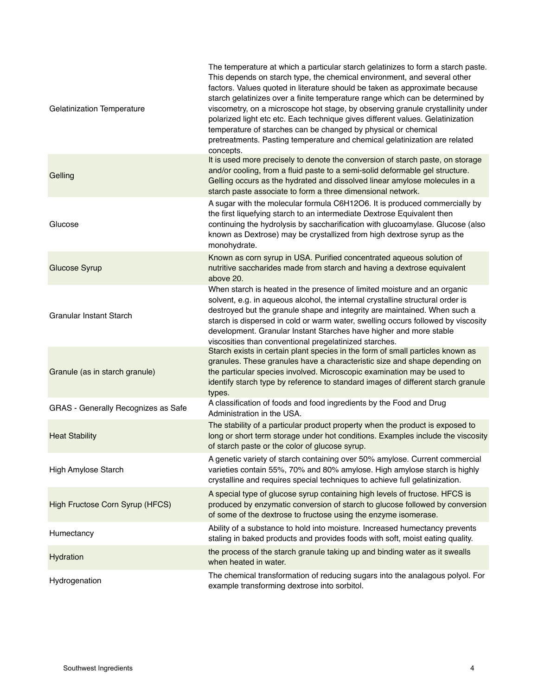| <b>Gelatinization Temperature</b>   | The temperature at which a particular starch gelatinizes to form a starch paste.<br>This depends on starch type, the chemical environment, and several other<br>factors. Values quoted in literature should be taken as approximate because<br>starch gelatinizes over a finite temperature range which can be determined by<br>viscometry, on a microscope hot stage, by observing granule crystallinity under<br>polarized light etc etc. Each technique gives different values. Gelatinization<br>temperature of starches can be changed by physical or chemical<br>pretreatments. Pasting temperature and chemical gelatinization are related<br>concepts. |
|-------------------------------------|----------------------------------------------------------------------------------------------------------------------------------------------------------------------------------------------------------------------------------------------------------------------------------------------------------------------------------------------------------------------------------------------------------------------------------------------------------------------------------------------------------------------------------------------------------------------------------------------------------------------------------------------------------------|
| Gelling                             | It is used more precisely to denote the conversion of starch paste, on storage<br>and/or cooling, from a fluid paste to a semi-solid deformable gel structure.<br>Gelling occurs as the hydrated and dissolved linear amylose molecules in a<br>starch paste associate to form a three dimensional network.                                                                                                                                                                                                                                                                                                                                                    |
| Glucose                             | A sugar with the molecular formula C6H12O6. It is produced commercially by<br>the first liquefying starch to an intermediate Dextrose Equivalent then<br>continuing the hydrolysis by saccharification with glucoamylase. Glucose (also<br>known as Dextrose) may be crystallized from high dextrose syrup as the<br>monohydrate.                                                                                                                                                                                                                                                                                                                              |
| <b>Glucose Syrup</b>                | Known as corn syrup in USA. Purified concentrated aqueous solution of<br>nutritive saccharides made from starch and having a dextrose equivalent<br>above 20.                                                                                                                                                                                                                                                                                                                                                                                                                                                                                                  |
| <b>Granular Instant Starch</b>      | When starch is heated in the presence of limited moisture and an organic<br>solvent, e.g. in aqueous alcohol, the internal crystalline structural order is<br>destroyed but the granule shape and integrity are maintained. When such a<br>starch is dispersed in cold or warm water, swelling occurs followed by viscosity<br>development. Granular Instant Starches have higher and more stable<br>viscosities than conventional pregelatinized starches.                                                                                                                                                                                                    |
| Granule (as in starch granule)      | Starch exists in certain plant species in the form of small particles known as<br>granules. These granules have a characteristic size and shape depending on<br>the particular species involved. Microscopic examination may be used to<br>identify starch type by reference to standard images of different starch granule<br>types.                                                                                                                                                                                                                                                                                                                          |
| GRAS - Generally Recognizes as Safe | A classification of foods and food ingredients by the Food and Drug<br>Administration in the USA.                                                                                                                                                                                                                                                                                                                                                                                                                                                                                                                                                              |
| <b>Heat Stability</b>               | The stability of a particular product property when the product is exposed to<br>long or short term storage under hot conditions. Examples include the viscosity<br>of starch paste or the color of glucose syrup.                                                                                                                                                                                                                                                                                                                                                                                                                                             |
| High Amylose Starch                 | A genetic variety of starch containing over 50% amylose. Current commercial<br>varieties contain 55%, 70% and 80% amylose. High amylose starch is highly<br>crystalline and requires special techniques to achieve full gelatinization.                                                                                                                                                                                                                                                                                                                                                                                                                        |
| High Fructose Corn Syrup (HFCS)     | A special type of glucose syrup containing high levels of fructose. HFCS is<br>produced by enzymatic conversion of starch to glucose followed by conversion<br>of some of the dextrose to fructose using the enzyme isomerase.                                                                                                                                                                                                                                                                                                                                                                                                                                 |
| Humectancy                          | Ability of a substance to hold into moisture. Increased humectancy prevents<br>staling in baked products and provides foods with soft, moist eating quality.                                                                                                                                                                                                                                                                                                                                                                                                                                                                                                   |
| Hydration                           | the process of the starch granule taking up and binding water as it swealls<br>when heated in water.                                                                                                                                                                                                                                                                                                                                                                                                                                                                                                                                                           |
| Hydrogenation                       | The chemical transformation of reducing sugars into the analagous polyol. For<br>example transforming dextrose into sorbitol.                                                                                                                                                                                                                                                                                                                                                                                                                                                                                                                                  |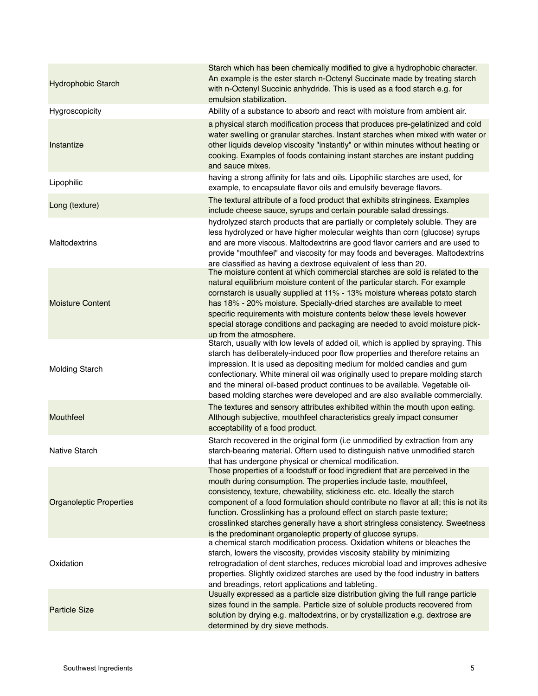| <b>Hydrophobic Starch</b>      | Starch which has been chemically modified to give a hydrophobic character.<br>An example is the ester starch n-Octenyl Succinate made by treating starch<br>with n-Octenyl Succinic anhydride. This is used as a food starch e.g. for<br>emulsion stabilization.                                                                                                                                                                                                                                                                                 |
|--------------------------------|--------------------------------------------------------------------------------------------------------------------------------------------------------------------------------------------------------------------------------------------------------------------------------------------------------------------------------------------------------------------------------------------------------------------------------------------------------------------------------------------------------------------------------------------------|
| Hygroscopicity                 | Ability of a substance to absorb and react with moisture from ambient air.                                                                                                                                                                                                                                                                                                                                                                                                                                                                       |
| Instantize                     | a physical starch modification process that produces pre-gelatinized and cold<br>water swelling or granular starches. Instant starches when mixed with water or<br>other liquids develop viscosity "instantly" or within minutes without heating or<br>cooking. Examples of foods containing instant starches are instant pudding<br>and sauce mixes.                                                                                                                                                                                            |
| Lipophilic                     | having a strong affinity for fats and oils. Lipophilic starches are used, for<br>example, to encapsulate flavor oils and emulsify beverage flavors.                                                                                                                                                                                                                                                                                                                                                                                              |
| Long (texture)                 | The textural attribute of a food product that exhibits stringiness. Examples<br>include cheese sauce, syrups and certain pourable salad dressings.                                                                                                                                                                                                                                                                                                                                                                                               |
| Maltodextrins                  | hydrolyzed starch products that are partially or completely soluble. They are<br>less hydrolyzed or have higher molecular weights than corn (glucose) syrups<br>and are more viscous. Maltodextrins are good flavor carriers and are used to<br>provide "mouthfeel" and viscosity for may foods and beverages. Maltodextrins<br>are classified as having a dextrose equivalent of less than 20.                                                                                                                                                  |
| <b>Moisture Content</b>        | The moisture content at which commercial starches are sold is related to the<br>natural equilibrium moisture content of the particular starch. For example<br>cornstarch is usually supplied at 11% - 13% moisture whereas potato starch<br>has 18% - 20% moisture. Specially-dried starches are available to meet<br>specific requirements with moisture contents below these levels however<br>special storage conditions and packaging are needed to avoid moisture pick-<br>up from the atmosphere.                                          |
| <b>Molding Starch</b>          | Starch, usually with low levels of added oil, which is applied by spraying. This<br>starch has deliberately-induced poor flow properties and therefore retains an<br>impression. It is used as depositing medium for molded candies and gum<br>confectionary. White mineral oil was originally used to prepare molding starch<br>and the mineral oil-based product continues to be available. Vegetable oil-<br>based molding starches were developed and are also available commercially.                                                       |
| Mouthfeel                      | The textures and sensory attributes exhibited within the mouth upon eating.<br>Although subjective, mouthfeel characteristics grealy impact consumer<br>acceptability of a food product.                                                                                                                                                                                                                                                                                                                                                         |
| Native Starch                  | Starch recovered in the original form (i.e unmodified by extraction from any<br>starch-bearing material. Oftern used to distinguish native unmodified starch<br>that has undergone physical or chemical modification.                                                                                                                                                                                                                                                                                                                            |
| <b>Organoleptic Properties</b> | Those properties of a foodstuff or food ingredient that are perceived in the<br>mouth during consumption. The properties include taste, mouthfeel,<br>consistency, texture, chewability, stickiness etc. etc. Ideally the starch<br>component of a food formulation should contribute no flavor at all; this is not its<br>function. Crosslinking has a profound effect on starch paste texture;<br>crosslinked starches generally have a short stringless consistency. Sweetness<br>is the predominant organoleptic property of glucose syrups. |
| Oxidation                      | a chemical starch modification process. Oxidation whitens or bleaches the<br>starch, lowers the viscosity, provides viscosity stability by minimizing<br>retrogradation of dent starches, reduces microbial load and improves adhesive<br>properties. Slightly oxidized starches are used by the food industry in batters<br>and breadings, retort applications and tableting.                                                                                                                                                                   |
| <b>Particle Size</b>           | Usually expressed as a particle size distribution giving the full range particle<br>sizes found in the sample. Particle size of soluble products recovered from<br>solution by drying e.g. maltodextrins, or by crystallization e.g. dextrose are<br>determined by dry sieve methods.                                                                                                                                                                                                                                                            |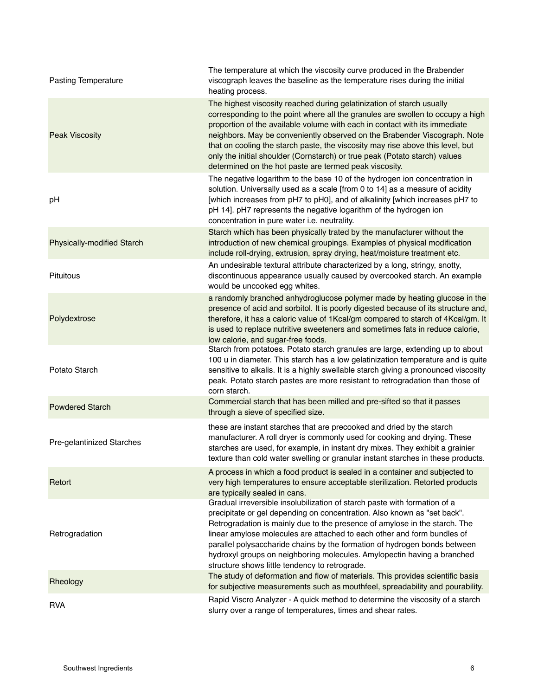| <b>Pasting Temperature</b> | The temperature at which the viscosity curve produced in the Brabender<br>viscograph leaves the baseline as the temperature rises during the initial<br>heating process.                                                                                                                                                                                                                                                                                                                                                                     |
|----------------------------|----------------------------------------------------------------------------------------------------------------------------------------------------------------------------------------------------------------------------------------------------------------------------------------------------------------------------------------------------------------------------------------------------------------------------------------------------------------------------------------------------------------------------------------------|
| <b>Peak Viscosity</b>      | The highest viscosity reached during gelatinization of starch usually<br>corresponding to the point where all the granules are swollen to occupy a high<br>proportion of the available volume with each in contact with its immediate<br>neighbors. May be conveniently observed on the Brabender Viscograph. Note<br>that on cooling the starch paste, the viscosity may rise above this level, but<br>only the initial shoulder (Cornstarch) or true peak (Potato starch) values<br>determined on the hot paste are termed peak viscosity. |
| pH                         | The negative logarithm to the base 10 of the hydrogen ion concentration in<br>solution. Universally used as a scale [from 0 to 14] as a measure of acidity<br>[which increases from pH7 to pH0], and of alkalinity [which increases pH7 to<br>pH 14]. pH7 represents the negative logarithm of the hydrogen ion<br>concentration in pure water i.e. neutrality.                                                                                                                                                                              |
| Physically-modified Starch | Starch which has been physically trated by the manufacturer without the<br>introduction of new chemical groupings. Examples of physical modification<br>include roll-drying, extrusion, spray drying, heat/moisture treatment etc.                                                                                                                                                                                                                                                                                                           |
| <b>Pituitous</b>           | An undesirable textural attribute characterized by a long, stringy, snotty,<br>discontinuous appearance usually caused by overcooked starch. An example<br>would be uncooked egg whites.                                                                                                                                                                                                                                                                                                                                                     |
| Polydextrose               | a randomly branched anhydroglucose polymer made by heating glucose in the<br>presence of acid and sorbitol. It is poorly digested because of its structure and,<br>therefore, it has a caloric value of 1Kcal/gm compared to starch of 4Kcal/gm. It<br>is used to replace nutritive sweeteners and sometimes fats in reduce calorie,<br>low calorie, and sugar-free foods.                                                                                                                                                                   |
| Potato Starch              | Starch from potatoes. Potato starch granules are large, extending up to about<br>100 u in diameter. This starch has a low gelatinization temperature and is quite<br>sensitive to alkalis. It is a highly swellable starch giving a pronounced viscosity<br>peak. Potato starch pastes are more resistant to retrogradation than those of<br>corn starch.                                                                                                                                                                                    |
| <b>Powdered Starch</b>     | Commercial starch that has been milled and pre-sifted so that it passes<br>through a sieve of specified size.                                                                                                                                                                                                                                                                                                                                                                                                                                |
| Pre-gelantinized Starches  | these are instant starches that are precooked and dried by the starch<br>manufacturer. A roll dryer is commonly used for cooking and drying. These<br>starches are used, for example, in instant dry mixes. They exhibit a grainier<br>texture than cold water swelling or granular instant starches in these products.                                                                                                                                                                                                                      |
| Retort                     | A process in which a food product is sealed in a container and subjected to<br>very high temperatures to ensure acceptable sterilization. Retorted products<br>are typically sealed in cans.                                                                                                                                                                                                                                                                                                                                                 |
| Retrogradation             | Gradual irreversible insolubilization of starch paste with formation of a<br>precipitate or gel depending on concentration. Also known as "set back".<br>Retrogradation is mainly due to the presence of amylose in the starch. The<br>linear amylose molecules are attached to each other and form bundles of<br>parallel polysaccharide chains by the formation of hydrogen bonds between<br>hydroxyl groups on neighboring molecules. Amylopectin having a branched<br>structure shows little tendency to retrograde.                     |
| Rheology                   | The study of deformation and flow of materials. This provides scientific basis<br>for subjective measurements such as mouthfeel, spreadability and pourability.                                                                                                                                                                                                                                                                                                                                                                              |
| <b>RVA</b>                 | Rapid Viscro Analyzer - A quick method to determine the viscosity of a starch<br>slurry over a range of temperatures, times and shear rates.                                                                                                                                                                                                                                                                                                                                                                                                 |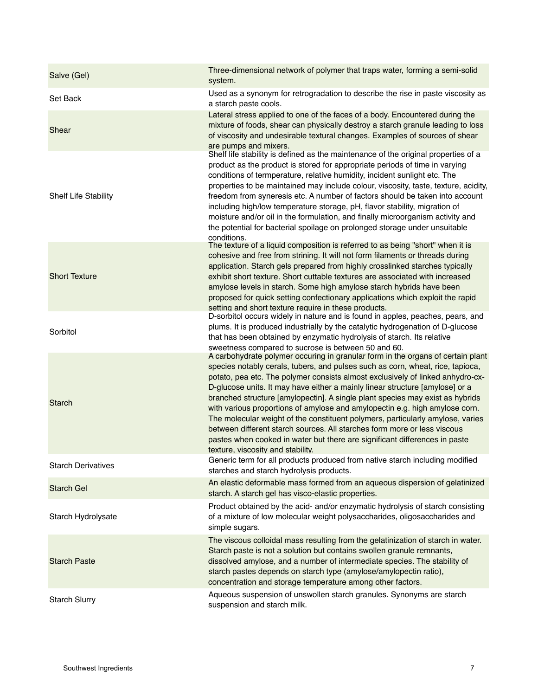| Salve (Gel)                 | Three-dimensional network of polymer that traps water, forming a semi-solid<br>system.                                                                                                                                                                                                                                                                                                                                                                                                                                                                                                                                                                                                                                                                                               |
|-----------------------------|--------------------------------------------------------------------------------------------------------------------------------------------------------------------------------------------------------------------------------------------------------------------------------------------------------------------------------------------------------------------------------------------------------------------------------------------------------------------------------------------------------------------------------------------------------------------------------------------------------------------------------------------------------------------------------------------------------------------------------------------------------------------------------------|
| Set Back                    | Used as a synonym for retrogradation to describe the rise in paste viscosity as<br>a starch paste cools.                                                                                                                                                                                                                                                                                                                                                                                                                                                                                                                                                                                                                                                                             |
| Shear                       | Lateral stress applied to one of the faces of a body. Encountered during the<br>mixture of foods, shear can physically destroy a starch granule leading to loss<br>of viscosity and undesirable textural changes. Examples of sources of shear<br>are pumps and mixers.                                                                                                                                                                                                                                                                                                                                                                                                                                                                                                              |
| <b>Shelf Life Stability</b> | Shelf life stability is defined as the maintenance of the original properties of a<br>product as the product is stored for appropriate periods of time in varying<br>conditions of termperature, relative humidity, incident sunlight etc. The<br>properties to be maintained may include colour, viscosity, taste, texture, acidity,<br>freedom from syneresis etc. A number of factors should be taken into account<br>including high/low temperature storage, pH, flavor stability, migration of<br>moisture and/or oil in the formulation, and finally microorganism activity and<br>the potential for bacterial spoilage on prolonged storage under unsuitable<br>conditions.                                                                                                   |
| <b>Short Texture</b>        | The texture of a liquid composition is referred to as being "short" when it is<br>cohesive and free from strining. It will not form filaments or threads during<br>application. Starch gels prepared from highly crosslinked starches typically<br>exhibit short texture. Short cuttable textures are associated with increased<br>amylose levels in starch. Some high amylose starch hybrids have been<br>proposed for quick setting confectionary applications which exploit the rapid<br>setting and short texture require in these products.                                                                                                                                                                                                                                     |
| Sorbitol                    | D-sorbitol occurs widely in nature and is found in apples, peaches, pears, and<br>plums. It is produced industrially by the catalytic hydrogenation of D-glucose<br>that has been obtained by enzymatic hydrolysis of starch. Its relative<br>sweetness compared to sucrose is between 50 and 60.                                                                                                                                                                                                                                                                                                                                                                                                                                                                                    |
| Starch                      | A carbohydrate polymer occuring in granular form in the organs of certain plant<br>species notably cerals, tubers, and pulses such as corn, wheat, rice, tapioca,<br>potato, pea etc. The polymer consists almost exclusively of linked anhydro-cx-<br>D-glucose units. It may have either a mainly linear structure [amylose] or a<br>branched structure [amylopectin]. A single plant species may exist as hybrids<br>with various proportions of amylose and amylopectin e.g. high amylose corn.<br>The molecular weight of the constituent polymers, particularly amylose, varies<br>between different starch sources. All starches form more or less viscous<br>pastes when cooked in water but there are significant differences in paste<br>texture, viscosity and stability. |
| <b>Starch Derivatives</b>   | Generic term for all products produced from native starch including modified<br>starches and starch hydrolysis products.                                                                                                                                                                                                                                                                                                                                                                                                                                                                                                                                                                                                                                                             |
| <b>Starch Gel</b>           | An elastic deformable mass formed from an aqueous dispersion of gelatinized<br>starch. A starch gel has visco-elastic properties.                                                                                                                                                                                                                                                                                                                                                                                                                                                                                                                                                                                                                                                    |
| Starch Hydrolysate          | Product obtained by the acid- and/or enzymatic hydrolysis of starch consisting<br>of a mixture of low molecular weight polysaccharides, oligosaccharides and<br>simple sugars.                                                                                                                                                                                                                                                                                                                                                                                                                                                                                                                                                                                                       |
| <b>Starch Paste</b>         | The viscous colloidal mass resulting from the gelatinization of starch in water.<br>Starch paste is not a solution but contains swollen granule remnants,<br>dissolved amylose, and a number of intermediate species. The stability of<br>starch pastes depends on starch type (amylose/amylopectin ratio),<br>concentration and storage temperature among other factors.                                                                                                                                                                                                                                                                                                                                                                                                            |
| <b>Starch Slurry</b>        | Aqueous suspension of unswollen starch granules. Synonyms are starch<br>suspension and starch milk.                                                                                                                                                                                                                                                                                                                                                                                                                                                                                                                                                                                                                                                                                  |